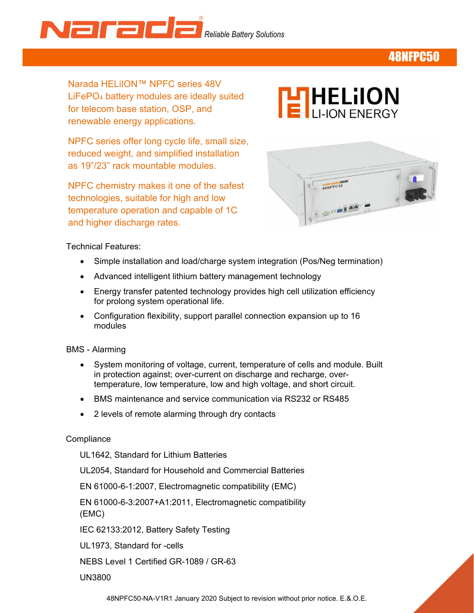Narada *Reliable Battery Solutions* 

## 48NFPC50

Narada HELiION™ NPFC series 48V LiFePO4 battery modules are ideally suited for telecom base station, OSP, and renewable energy applications.

 reduced weight, and simplified installation NPFC series offer long cycle life, small size, as 19"/23" rack mountable modules.

NPFC chemistry makes it one of the safest technologies, suitable for high and low temperature operation and capable of 1C and higher discharge rates.





Technical Features:

- Simple installation and load/charge system integration (Pos/Neg termination)
- Advanced intelligent lithium battery management technology
- Energy transfer patented technology provides high cell utilization efficiency for prolong system operational life.
- Configuration flexibility, support parallel connection expansion up to 16 modules
- BMS Alarming
	- System monitoring of voltage, current, temperature of cells and module. Built in protection against; over-current on discharge and recharge, overtemperature, low temperature, low and high voltage, and short circuit.
	- BMS maintenance and service communication via RS232 or RS485
	- 2 levels of remote alarming through dry contacts

#### **Compliance**

UL1642, Standard for Lithium Batteries

UL2054, Standard for Household and Commercial Batteries

EN 61000-6-1:2007, Electromagnetic compatibility (EMC)

EN 61000-6-3:2007+A1:2011, Electromagnetic compatibility (EMC)

IEC 62133:2012, Battery Safety Testing

UL1973, Standard for -cells

NEBS Level 1 Certified GR-1089 / GR-63

UN3800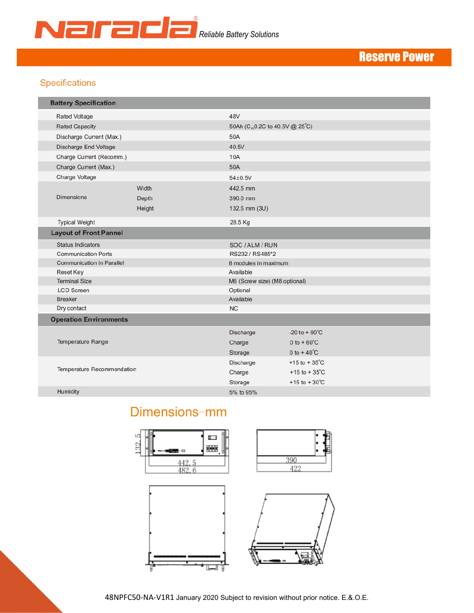

# Reserve Power

## Specifications

| <b>Battery Specification</b>      |              |                                |                          |  |  |  |  |  |
|-----------------------------------|--------------|--------------------------------|--------------------------|--|--|--|--|--|
| <b>Rated Voltage</b>              |              | <b>48V</b>                     |                          |  |  |  |  |  |
| <b>Rated Capacity</b>             |              | 50Ah (C, 0.2C to 40.5V @ 25°C) |                          |  |  |  |  |  |
| Discharge Current (Max.)          |              | <b>50A</b>                     |                          |  |  |  |  |  |
| <b>Discharge End Voltage</b>      |              | 40.5V                          |                          |  |  |  |  |  |
| Charge Current (Recomm.)          |              | <b>10A</b>                     |                          |  |  |  |  |  |
| Charge Current (Max.)             |              | 50A                            |                          |  |  |  |  |  |
| <b>Charge Voltage</b>             |              | $54 \pm 0.5V$                  |                          |  |  |  |  |  |
|                                   | Width        | 442.5 mm                       |                          |  |  |  |  |  |
| <b>Dimensions</b>                 | <b>Depth</b> | 390.0 mm                       |                          |  |  |  |  |  |
|                                   | Height       | 132.5 mm (3U)                  |                          |  |  |  |  |  |
| <b>Typical Weight</b>             |              | 28.5 Kg                        |                          |  |  |  |  |  |
|                                   |              |                                |                          |  |  |  |  |  |
| <b>Layout of Front Pannel</b>     |              |                                |                          |  |  |  |  |  |
| <b>Status Indicators</b>          |              | SOC / ALM / RUN                |                          |  |  |  |  |  |
| <b>Communication Ports</b>        |              | RS232 / RS485*2                |                          |  |  |  |  |  |
| <b>Communication in Parallel</b>  |              | 8 modules in maximum           |                          |  |  |  |  |  |
| <b>Reset Key</b>                  |              | Available                      |                          |  |  |  |  |  |
| <b>Terminal Size</b>              |              | M6 (Screw size) (M8 optional)  |                          |  |  |  |  |  |
| <b>LCD Screen</b>                 |              | Optional                       |                          |  |  |  |  |  |
| <b>Breaker</b>                    |              | Available                      |                          |  |  |  |  |  |
| Dry contact                       |              | <b>NC</b>                      |                          |  |  |  |  |  |
| <b>Operation Environments</b>     |              |                                |                          |  |  |  |  |  |
|                                   |              | <b>Discharge</b>               | $-20$ to $+60^{\circ}$ C |  |  |  |  |  |
| <b>Temperature Range</b>          |              | Charge                         | $0$ to +60 $^{\circ}$ C  |  |  |  |  |  |
|                                   |              | Storage                        | $0 to + 40^{\circ}C$     |  |  |  |  |  |
|                                   |              | <b>Discharge</b>               | $+15$ to $+35^{\circ}$ C |  |  |  |  |  |
| <b>Temperature Recommendation</b> |              | Charge                         | $+15$ to $+35^{\circ}$ C |  |  |  |  |  |
|                                   |              | Storage                        | +15 to +30 $^{\circ}$ C  |  |  |  |  |  |
| Humidity                          |              | 5% to 95%                      |                          |  |  |  |  |  |
|                                   |              |                                |                          |  |  |  |  |  |

# Dimensions-mm